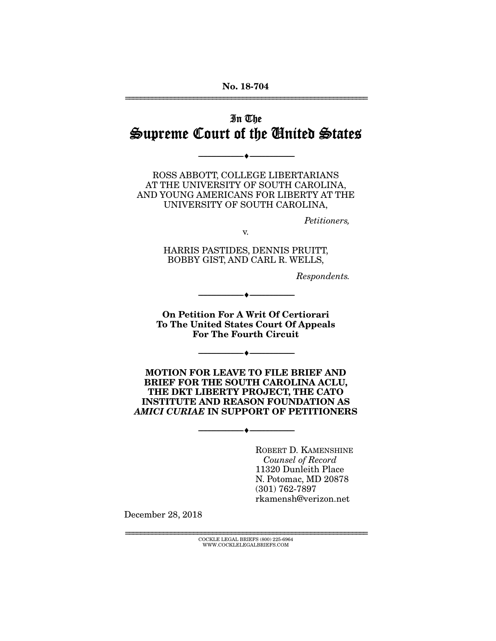### No. 18-704 ================================================================

# In The Supreme Court of the United States

--------------------------------- ---------------------------------

ROSS ABBOTT, COLLEGE LIBERTARIANS AT THE UNIVERSITY OF SOUTH CAROLINA, AND YOUNG AMERICANS FOR LIBERTY AT THE UNIVERSITY OF SOUTH CAROLINA,

*Petitioners,* 

v.

HARRIS PASTIDES, DENNIS PRUITT, BOBBY GIST, AND CARL R. WELLS,

--------------------------------- ---------------------------------

*Respondents.* 

On Petition For A Writ Of Certiorari To The United States Court Of Appeals For The Fourth Circuit

--------------------------------- ---------------------------------

MOTION FOR LEAVE TO FILE BRIEF AND BRIEF FOR THE SOUTH CAROLINA ACLU, THE DKT LIBERTY PROJECT, THE CATO INSTITUTE AND REASON FOUNDATION AS *AMICI CURIAE* IN SUPPORT OF PETITIONERS

--------------------------------- ---------------------------------

ROBERT D. KAMENSHINE *Counsel of Record* 11320 Dunleith Place N. Potomac, MD 20878 (301) 762-7897 rkamensh@verizon.net

December 28, 2018

================================================================ COCKLE LEGAL BRIEFS (800) 225-6964 WWW.COCKLELEGALBRIEFS.COM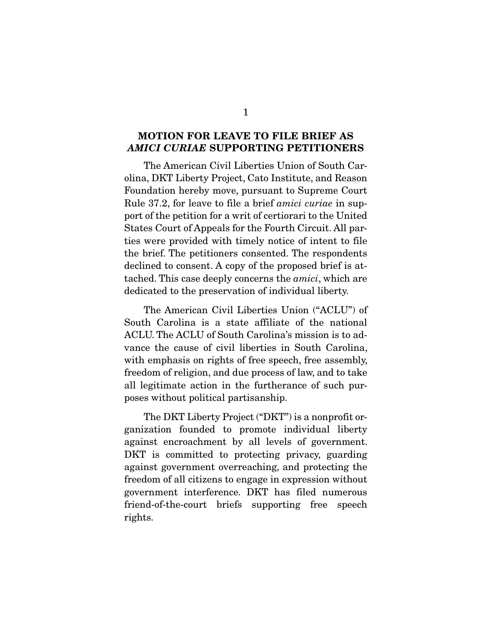### MOTION FOR LEAVE TO FILE BRIEF AS *AMICI CURIAE* SUPPORTING PETITIONERS

 The American Civil Liberties Union of South Carolina, DKT Liberty Project, Cato Institute, and Reason Foundation hereby move, pursuant to Supreme Court Rule 37.2, for leave to file a brief *amici curiae* in support of the petition for a writ of certiorari to the United States Court of Appeals for the Fourth Circuit. All parties were provided with timely notice of intent to file the brief. The petitioners consented. The respondents declined to consent. A copy of the proposed brief is attached. This case deeply concerns the *amici*, which are dedicated to the preservation of individual liberty.

 The American Civil Liberties Union ("ACLU") of South Carolina is a state affiliate of the national ACLU. The ACLU of South Carolina's mission is to advance the cause of civil liberties in South Carolina, with emphasis on rights of free speech, free assembly, freedom of religion, and due process of law, and to take all legitimate action in the furtherance of such purposes without political partisanship.

 The DKT Liberty Project ("DKT") is a nonprofit organization founded to promote individual liberty against encroachment by all levels of government. DKT is committed to protecting privacy, guarding against government overreaching, and protecting the freedom of all citizens to engage in expression without government interference. DKT has filed numerous friend-of-the-court briefs supporting free speech rights.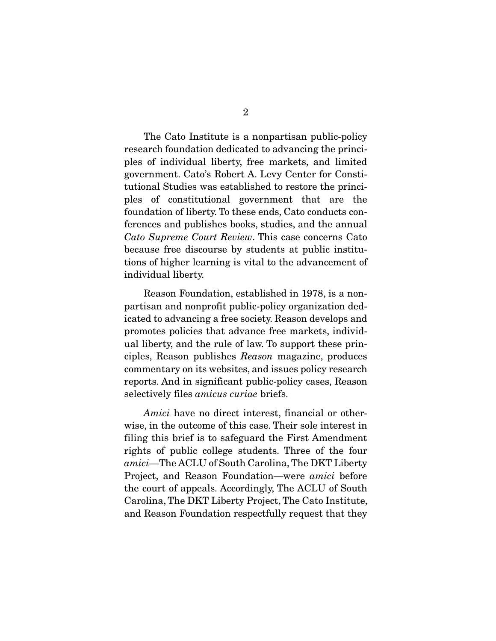The Cato Institute is a nonpartisan public-policy research foundation dedicated to advancing the principles of individual liberty, free markets, and limited government. Cato's Robert A. Levy Center for Constitutional Studies was established to restore the principles of constitutional government that are the foundation of liberty. To these ends, Cato conducts conferences and publishes books, studies, and the annual *Cato Supreme Court Review*. This case concerns Cato because free discourse by students at public institutions of higher learning is vital to the advancement of individual liberty.

 Reason Foundation, established in 1978, is a nonpartisan and nonprofit public-policy organization dedicated to advancing a free society. Reason develops and promotes policies that advance free markets, individual liberty, and the rule of law. To support these principles, Reason publishes *Reason* magazine, produces commentary on its websites, and issues policy research reports. And in significant public-policy cases, Reason selectively files *amicus curiae* briefs.

*Amici* have no direct interest, financial or otherwise, in the outcome of this case. Their sole interest in filing this brief is to safeguard the First Amendment rights of public college students. Three of the four *amici*—The ACLU of South Carolina, The DKT Liberty Project, and Reason Foundation—were *amici* before the court of appeals. Accordingly, The ACLU of South Carolina, The DKT Liberty Project, The Cato Institute, and Reason Foundation respectfully request that they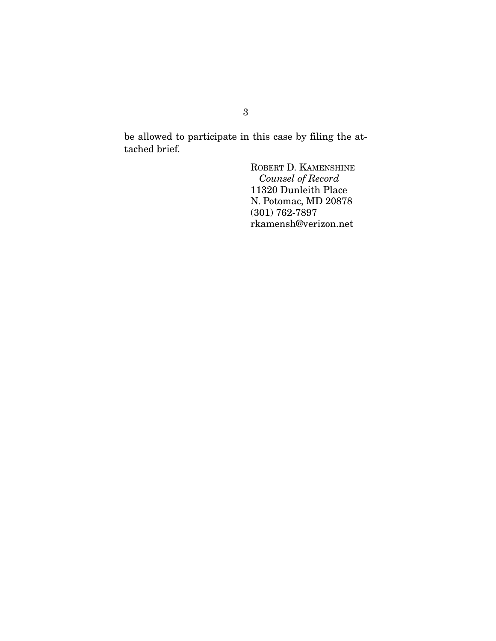be allowed to participate in this case by filing the attached brief.

> ROBERT D. KAMENSHINE *Counsel of Record*  11320 Dunleith Place N. Potomac, MD 20878 (301) 762-7897 rkamensh@verizon.net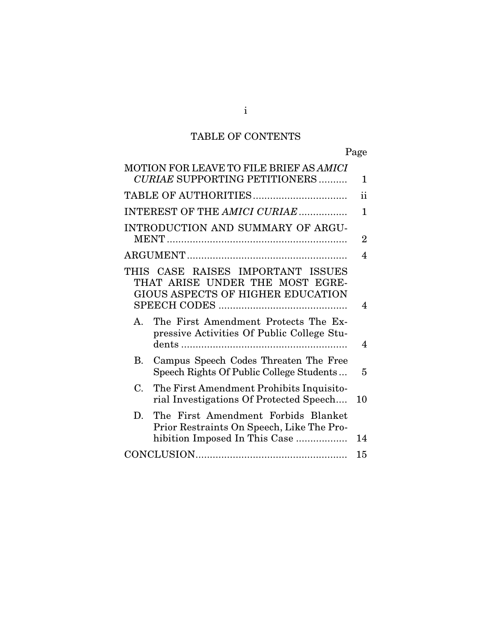# TABLE OF CONTENTS

Page

| <b>MOTION FOR LEAVE TO FILE BRIEF AS AMICI</b><br><b>CURIAE SUPPORTING PETITIONERS</b>                                  | 1  |
|-------------------------------------------------------------------------------------------------------------------------|----|
|                                                                                                                         | ii |
| INTEREST OF THE AMICI CURIAE                                                                                            | 1  |
| INTRODUCTION AND SUMMARY OF ARGU-                                                                                       |    |
|                                                                                                                         | 2  |
|                                                                                                                         | 4  |
| THIS CASE RAISES IMPORTANT ISSUES<br>THAT ARISE UNDER THE MOST EGRE-<br>GIOUS ASPECTS OF HIGHER EDUCATION               | 4  |
| The First Amendment Protects The Ex-<br>$A_{\cdot}$<br>pressive Activities Of Public College Stu-                       | 4  |
| Campus Speech Codes Threaten The Free<br>В.<br>Speech Rights Of Public College Students                                 | 5  |
| The First Amendment Prohibits Inquisito-<br>$C_{\cdot}$<br>rial Investigations Of Protected Speech                      | 10 |
| The First Amendment Forbids Blanket<br>D.<br>Prior Restraints On Speech, Like The Pro-<br>hibition Imposed In This Case | 14 |
|                                                                                                                         | 15 |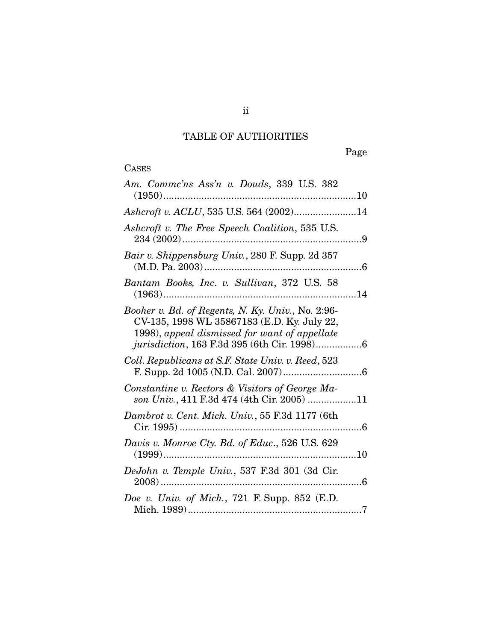# TABLE OF AUTHORITIES

Page

# **CASES**

| Am. Commc'ns Ass'n v. Douds, 339 U.S. 382<br>$(1950)$                                                                                                                                                    |
|----------------------------------------------------------------------------------------------------------------------------------------------------------------------------------------------------------|
| Ashcroft v. ACLU, 535 U.S. 564 (2002)14                                                                                                                                                                  |
| Ashcroft v. The Free Speech Coalition, 535 U.S.                                                                                                                                                          |
| Bair v. Shippensburg Univ., 280 F. Supp. 2d 357                                                                                                                                                          |
| Bantam Books, Inc. v. Sullivan, 372 U.S. 58<br>$(1963)$                                                                                                                                                  |
| Booher v. Bd. of Regents, N. Ky. Univ., No. 2:96-<br>CV-135, 1998 WL 35867183 (E.D. Ky. July 22,<br>1998), appeal dismissed for want of appellate<br><i>jurisdiction</i> , 163 F.3d 395 (6th Cir. 1998)6 |
| Coll. Republicans at S.F. State Univ. v. Reed, 523                                                                                                                                                       |
| Constantine v. Rectors & Visitors of George Ma-<br>son Univ., 411 F.3d 474 (4th Cir. 2005) 11                                                                                                            |
| Dambrot v. Cent. Mich. Univ., 55 F.3d 1177 (6th<br>. 6                                                                                                                                                   |
| Davis v. Monroe Cty. Bd. of Educ., 526 U.S. 629<br>$(1999)$<br>. 10                                                                                                                                      |
| DeJohn v. Temple Univ., 537 F.3d 301 (3d Cir.                                                                                                                                                            |
| Doe v. Univ. of Mich., 721 F. Supp. 852 $(E.D.$                                                                                                                                                          |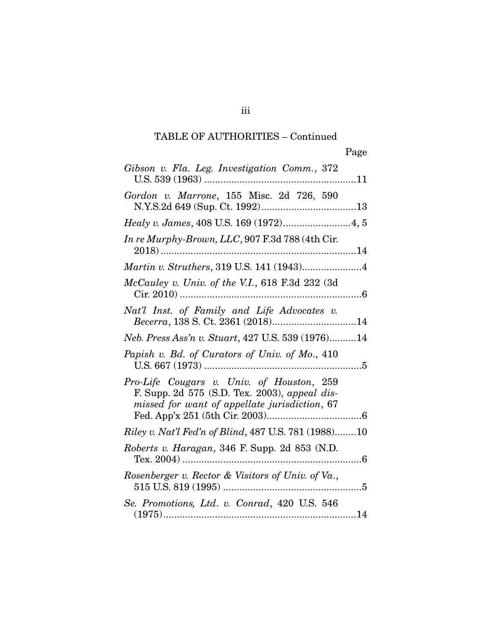| Gibson v. Fla. Leg. Investigation Comm., 372                                                                                                |
|---------------------------------------------------------------------------------------------------------------------------------------------|
| Gordon v. Marrone, 155 Misc. 2d 726, 590                                                                                                    |
|                                                                                                                                             |
| In re Murphy-Brown, LLC, 907 F.3d 788 (4th Cir.                                                                                             |
| Martin v. Struthers, 319 U.S. 141 (1943)4                                                                                                   |
| McCauley v. Univ. of the V.I., 618 F.3d 232 (3d                                                                                             |
| Nat'l Inst. of Family and Life Advocates v.<br>Becerra, 138 S. Ct. 2361 (2018)14                                                            |
| Neb. Press Ass'n v. Stuart, 427 U.S. 539 (1976)14                                                                                           |
| Papish v. Bd. of Curators of Univ. of Mo., 410                                                                                              |
| Pro-Life Cougars v. Univ. of Houston, 259<br>F. Supp. 2d 575 (S.D. Tex. 2003), appeal dis-<br>missed for want of appellate jurisdiction, 67 |
| Riley v. Nat'l Fed'n of Blind, 487 U.S. 781 (1988)10                                                                                        |
| Roberts v. Haragan, 346 F. Supp. 2d 853 (N.D.                                                                                               |
| Rosenberger v. Rector & Visitors of Univ. of Va.,                                                                                           |
| Se. Promotions, Ltd. v. Conrad, 420 U.S. 546                                                                                                |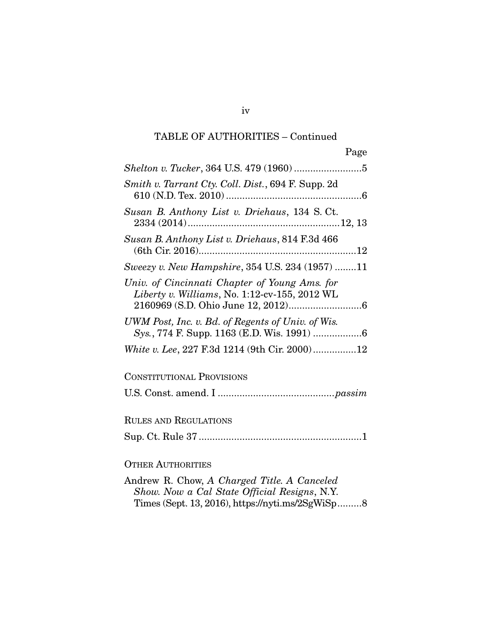| Page                                                                                           |
|------------------------------------------------------------------------------------------------|
|                                                                                                |
| Smith v. Tarrant Cty. Coll. Dist., 694 F. Supp. 2d                                             |
| Susan B. Anthony List v. Driehaus, 134 S. Ct.                                                  |
| Susan B. Anthony List v. Driehaus, 814 F.3d 466                                                |
| Sweezy v. New Hampshire, 354 U.S. 234 (1957) 11                                                |
| Univ. of Cincinnati Chapter of Young Ams. for<br>Liberty v. Williams, No. 1:12-cv-155, 2012 WL |
| UWM Post, Inc. v. Bd. of Regents of Univ. of Wis.                                              |
| White v. Lee, 227 F.3d 1214 (9th Cir. 2000)12                                                  |
| <b>CONSTITUTIONAL PROVISIONS</b>                                                               |
|                                                                                                |
| <b>RULES AND REGULATIONS</b>                                                                   |
|                                                                                                |
| <b>OTHER AUTHORITIES</b>                                                                       |
| Andrew R. Chow, A Charged Title. A Canceled                                                    |

*Show. Now a Cal State Official Resigns*, N.Y.

Times (Sept. 13, 2016), https://nyti.ms/2SgWiSp ......... 8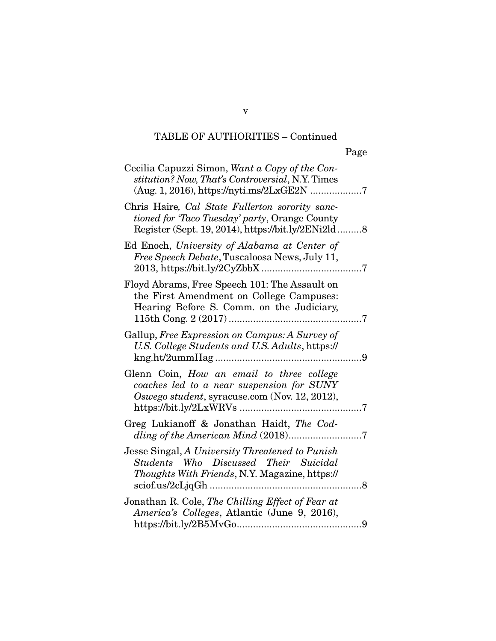| Cecilia Capuzzi Simon, Want a Copy of the Con-<br>stitution? Now, That's Controversial, N.Y. Times                                                      |
|---------------------------------------------------------------------------------------------------------------------------------------------------------|
| Chris Haire, Cal State Fullerton sorority sanc-<br>tioned for 'Taco Tuesday' party, Orange County<br>Register (Sept. 19, 2014), https://bit.ly/2ENi2ld8 |
| Ed Enoch, University of Alabama at Center of<br>Free Speech Debate, Tuscaloosa News, July 11,                                                           |
| Floyd Abrams, Free Speech 101: The Assault on<br>the First Amendment on College Campuses:<br>Hearing Before S. Comm. on the Judiciary,                  |
| Gallup, Free Expression on Campus: A Survey of<br>U.S. College Students and U.S. Adults, https://<br>9                                                  |
| Glenn Coin, How an email to three college<br>coaches led to a near suspension for SUNY<br>Oswego student, syracuse.com (Nov. 12, 2012),                 |
| Greg Lukianoff & Jonathan Haidt, The Cod-                                                                                                               |
| Jesse Singal, A University Threatened to Punish<br>Students Who Discussed Their Suicidal<br><i>Thoughts With Friends, N.Y. Magazine, https://</i><br>8  |
| Jonathan R. Cole, The Chilling Effect of Fear at<br>America's Colleges, Atlantic (June 9, 2016),                                                        |

v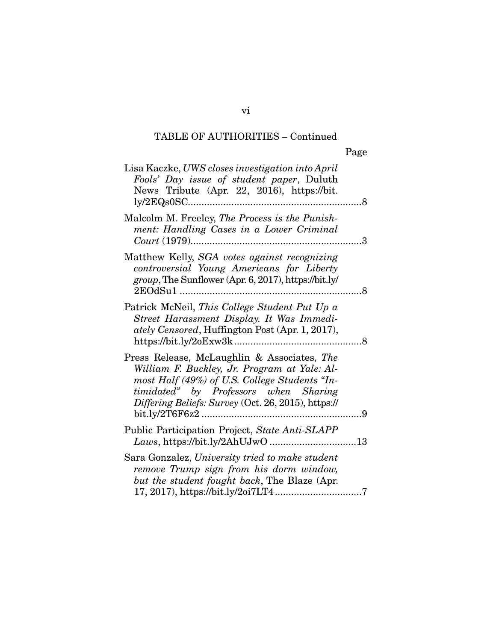| Lisa Kaczke, UWS closes investigation into April<br>Fools' Day issue of student paper, Duluth<br>News Tribute (Apr. 22, 2016), https://bit.                                                                                                  |                      |
|----------------------------------------------------------------------------------------------------------------------------------------------------------------------------------------------------------------------------------------------|----------------------|
| Malcolm M. Freeley, The Process is the Punish-<br>ment: Handling Cases in a Lower Criminal                                                                                                                                                   | $\boldsymbol{\beta}$ |
| Matthew Kelly, SGA votes against recognizing<br>controversial Young Americans for Liberty<br>group, The Sunflower (Apr. 6, 2017), https://bit.ly/<br>2EOdSu1                                                                                 | . 8                  |
| Patrick McNeil, This College Student Put Up a<br>Street Harassment Display. It Was Immedi-<br>ately Censored, Huffington Post (Apr. 1, 2017),                                                                                                |                      |
| Press Release, McLaughlin & Associates, The<br>William F. Buckley, Jr. Program at Yale: Al-<br>most Half (49%) of U.S. College Students "In-<br>timidated" by Professors when Sharing<br>Differing Beliefs: Survey (Oct. 26, 2015), https:// | 9                    |
| Public Participation Project, State Anti-SLAPP<br>Laws, https://bit.ly/2AhUJwO                                                                                                                                                               |                      |
| Sara Gonzalez, University tried to make student<br>remove Trump sign from his dorm window,<br>but the student fought back, The Blaze (Apr.                                                                                                   |                      |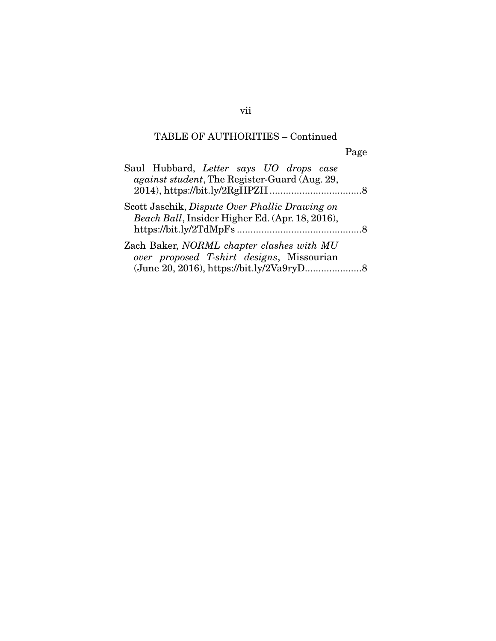Page

| Saul Hubbard, Letter says UO drops case<br><i>against student</i> , The Register-Guard (Aug. 29,  |  |
|---------------------------------------------------------------------------------------------------|--|
| Scott Jaschik, Dispute Over Phallic Drawing on<br>Beach Ball, Insider Higher Ed. (Apr. 18, 2016), |  |
| Zach Baker, NORML chapter clashes with MU<br>over proposed T-shirt designs, Missourian            |  |

vii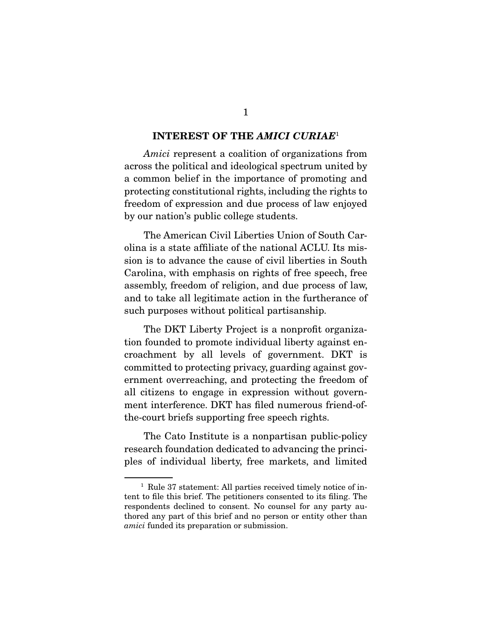#### INTEREST OF THE *AMICI CURIAE*<sup>1</sup>

*Amici* represent a coalition of organizations from across the political and ideological spectrum united by a common belief in the importance of promoting and protecting constitutional rights, including the rights to freedom of expression and due process of law enjoyed by our nation's public college students.

 The American Civil Liberties Union of South Carolina is a state affiliate of the national ACLU. Its mission is to advance the cause of civil liberties in South Carolina, with emphasis on rights of free speech, free assembly, freedom of religion, and due process of law, and to take all legitimate action in the furtherance of such purposes without political partisanship.

 The DKT Liberty Project is a nonprofit organization founded to promote individual liberty against encroachment by all levels of government. DKT is committed to protecting privacy, guarding against government overreaching, and protecting the freedom of all citizens to engage in expression without government interference. DKT has filed numerous friend-ofthe-court briefs supporting free speech rights.

 The Cato Institute is a nonpartisan public-policy research foundation dedicated to advancing the principles of individual liberty, free markets, and limited

<sup>&</sup>lt;sup>1</sup> Rule 37 statement: All parties received timely notice of intent to file this brief. The petitioners consented to its filing. The respondents declined to consent. No counsel for any party authored any part of this brief and no person or entity other than *amici* funded its preparation or submission.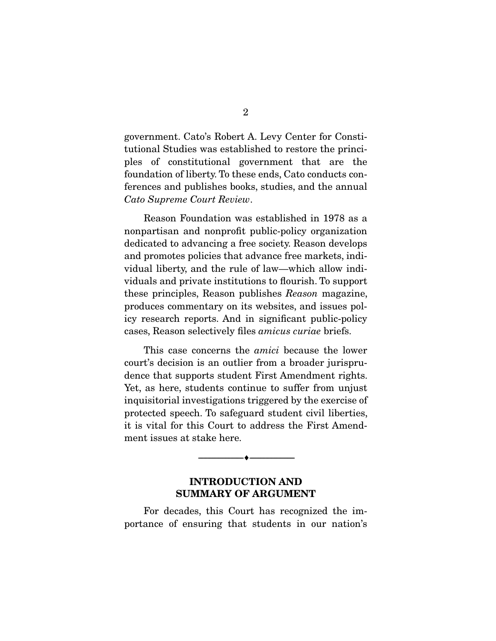government. Cato's Robert A. Levy Center for Constitutional Studies was established to restore the principles of constitutional government that are the foundation of liberty. To these ends, Cato conducts conferences and publishes books, studies, and the annual *Cato Supreme Court Review*.

 Reason Foundation was established in 1978 as a nonpartisan and nonprofit public-policy organization dedicated to advancing a free society. Reason develops and promotes policies that advance free markets, individual liberty, and the rule of law—which allow individuals and private institutions to flourish. To support these principles, Reason publishes *Reason* magazine, produces commentary on its websites, and issues policy research reports. And in significant public-policy cases, Reason selectively files *amicus curiae* briefs.

 This case concerns the *amici* because the lower court's decision is an outlier from a broader jurisprudence that supports student First Amendment rights. Yet, as here, students continue to suffer from unjust inquisitorial investigations triggered by the exercise of protected speech. To safeguard student civil liberties, it is vital for this Court to address the First Amendment issues at stake here.

### INTRODUCTION AND SUMMARY OF ARGUMENT

--------------------------------- ---------------------------------

For decades, this Court has recognized the importance of ensuring that students in our nation's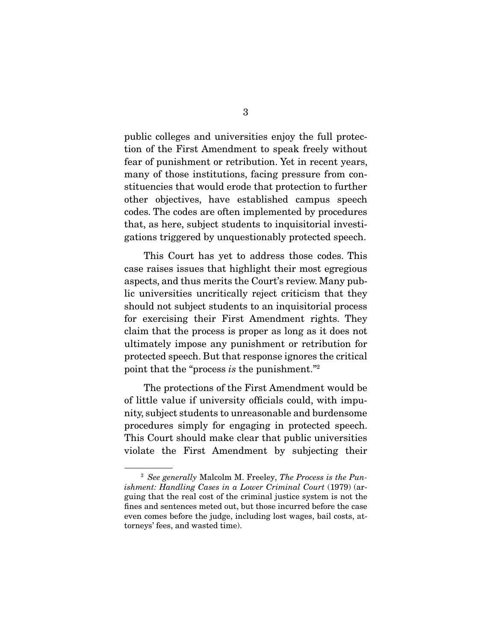public colleges and universities enjoy the full protection of the First Amendment to speak freely without fear of punishment or retribution. Yet in recent years, many of those institutions, facing pressure from constituencies that would erode that protection to further other objectives, have established campus speech codes. The codes are often implemented by procedures that, as here, subject students to inquisitorial investigations triggered by unquestionably protected speech.

 This Court has yet to address those codes. This case raises issues that highlight their most egregious aspects, and thus merits the Court's review. Many public universities uncritically reject criticism that they should not subject students to an inquisitorial process for exercising their First Amendment rights. They claim that the process is proper as long as it does not ultimately impose any punishment or retribution for protected speech. But that response ignores the critical point that the "process *is* the punishment."2

 The protections of the First Amendment would be of little value if university officials could, with impunity, subject students to unreasonable and burdensome procedures simply for engaging in protected speech. This Court should make clear that public universities violate the First Amendment by subjecting their

<sup>2</sup> *See generally* Malcolm M. Freeley, *The Process is the Punishment: Handling Cases in a Lower Criminal Court* (1979) (arguing that the real cost of the criminal justice system is not the fines and sentences meted out, but those incurred before the case even comes before the judge, including lost wages, bail costs, attorneys' fees, and wasted time).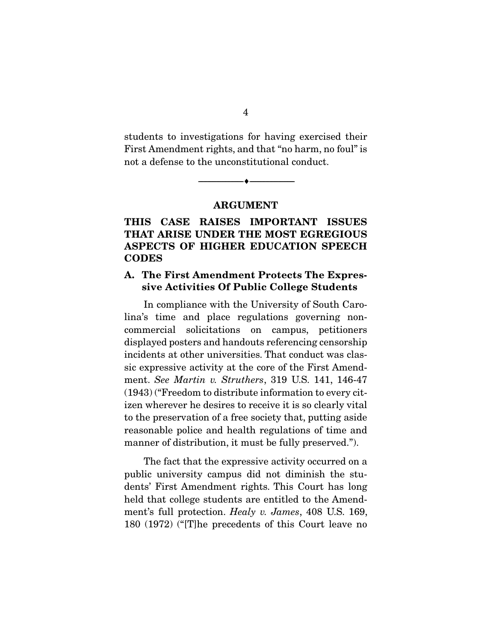students to investigations for having exercised their First Amendment rights, and that "no harm, no foul" is not a defense to the unconstitutional conduct.

ARGUMENT

--------------------------------- ---------------------------------

### THIS CASE RAISES IMPORTANT ISSUES THAT ARISE UNDER THE MOST EGREGIOUS ASPECTS OF HIGHER EDUCATION SPEECH **CODES**

### A. The First Amendment Protects The Expressive Activities Of Public College Students

In compliance with the University of South Carolina's time and place regulations governing noncommercial solicitations on campus, petitioners displayed posters and handouts referencing censorship incidents at other universities. That conduct was classic expressive activity at the core of the First Amendment. *See Martin v. Struthers*, 319 U.S. 141, 146-47 (1943) ("Freedom to distribute information to every citizen wherever he desires to receive it is so clearly vital to the preservation of a free society that, putting aside reasonable police and health regulations of time and manner of distribution, it must be fully preserved.").

 The fact that the expressive activity occurred on a public university campus did not diminish the students' First Amendment rights. This Court has long held that college students are entitled to the Amendment's full protection. *Healy v. James*, 408 U.S. 169, 180 (1972) ("[T]he precedents of this Court leave no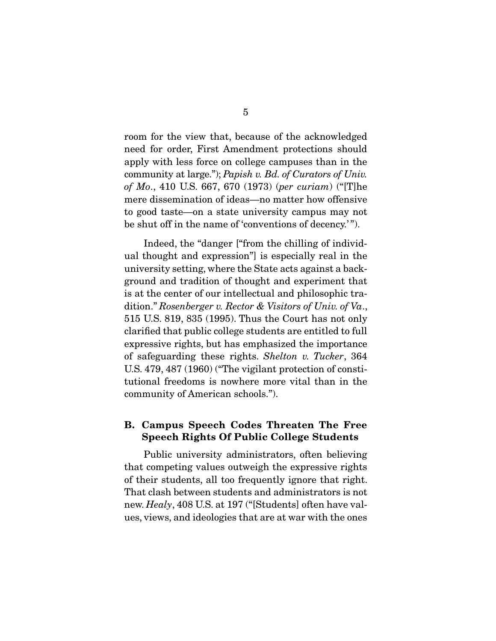room for the view that, because of the acknowledged need for order, First Amendment protections should apply with less force on college campuses than in the community at large."); *Papish v. Bd. of Curators of Univ. of Mo*., 410 U.S. 667, 670 (1973) (*per curiam*) ("[T]he mere dissemination of ideas—no matter how offensive to good taste—on a state university campus may not be shut off in the name of 'conventions of decency.' ").

 Indeed, the "danger ["from the chilling of individual thought and expression"] is especially real in the university setting, where the State acts against a background and tradition of thought and experiment that is at the center of our intellectual and philosophic tradition." *Rosenberger v. Rector & Visitors of Univ. of Va*., 515 U.S. 819, 835 (1995). Thus the Court has not only clarified that public college students are entitled to full expressive rights, but has emphasized the importance of safeguarding these rights. *Shelton v. Tucker*, 364 U.S. 479, 487 (1960) ("The vigilant protection of constitutional freedoms is nowhere more vital than in the community of American schools.").

### B. Campus Speech Codes Threaten The Free Speech Rights Of Public College Students

Public university administrators, often believing that competing values outweigh the expressive rights of their students, all too frequently ignore that right. That clash between students and administrators is not new. *Healy*, 408 U.S. at 197 ("[Students] often have values, views, and ideologies that are at war with the ones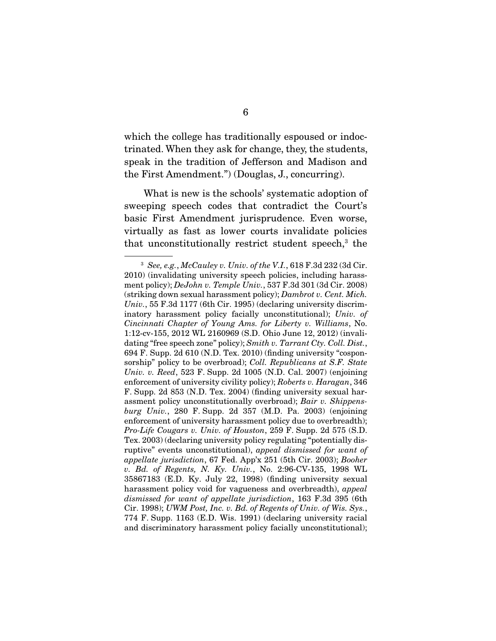which the college has traditionally espoused or indoctrinated. When they ask for change, they, the students, speak in the tradition of Jefferson and Madison and the First Amendment.") (Douglas, J., concurring).

 What is new is the schools' systematic adoption of sweeping speech codes that contradict the Court's basic First Amendment jurisprudence. Even worse, virtually as fast as lower courts invalidate policies that unconstitutionally restrict student speech,<sup>3</sup> the

<sup>3</sup> *See, e.g.*, *McCauley v. Univ. of the V.I.*, 618 F.3d 232 (3d Cir. 2010) (invalidating university speech policies, including harassment policy); *DeJohn v. Temple Univ.*, 537 F.3d 301 (3d Cir. 2008) (striking down sexual harassment policy); *Dambrot v. Cent. Mich. Univ.*, 55 F.3d 1177 (6th Cir. 1995) (declaring university discriminatory harassment policy facially unconstitutional); *Univ. of Cincinnati Chapter of Young Ams. for Liberty v. Williams*, No. 1:12-cv-155, 2012 WL 2160969 (S.D. Ohio June 12, 2012) (invalidating "free speech zone" policy); *Smith v. Tarrant Cty. Coll. Dist.*, 694 F. Supp. 2d 610 (N.D. Tex. 2010) (finding university "cosponsorship" policy to be overbroad); *Coll. Republicans at S.F. State Univ. v. Reed*, 523 F. Supp. 2d 1005 (N.D. Cal. 2007) (enjoining enforcement of university civility policy); *Roberts v. Haragan*, 346 F. Supp. 2d 853 (N.D. Tex. 2004) (finding university sexual harassment policy unconstitutionally overbroad); *Bair v. Shippensburg Univ.*, 280 F. Supp. 2d 357 (M.D. Pa. 2003) (enjoining enforcement of university harassment policy due to overbreadth); *Pro-Life Cougars v. Univ. of Houston*, 259 F. Supp. 2d 575 (S.D. Tex. 2003) (declaring university policy regulating "potentially disruptive" events unconstitutional), *appeal dismissed for want of appellate jurisdiction*, 67 Fed. App'x 251 (5th Cir. 2003); *Booher v. Bd. of Regents, N. Ky. Univ.*, No. 2:96-CV-135, 1998 WL 35867183 (E.D. Ky. July 22, 1998) (finding university sexual harassment policy void for vagueness and overbreadth), *appeal dismissed for want of appellate jurisdiction*, 163 F.3d 395 (6th Cir. 1998); *UWM Post, Inc. v. Bd. of Regents of Univ. of Wis. Sys.*, 774 F. Supp. 1163 (E.D. Wis. 1991) (declaring university racial and discriminatory harassment policy facially unconstitutional);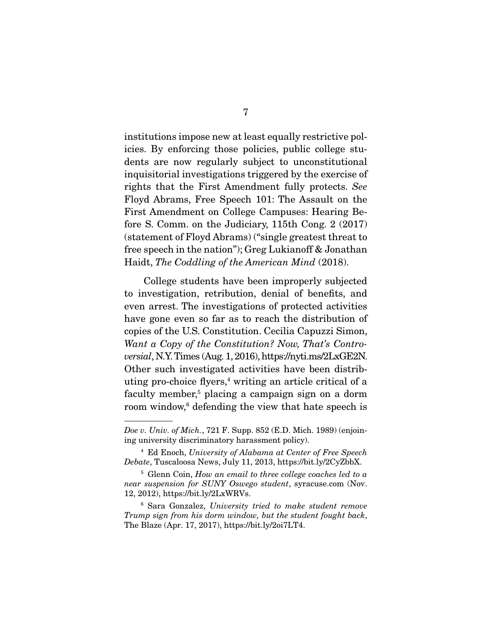institutions impose new at least equally restrictive policies. By enforcing those policies, public college students are now regularly subject to unconstitutional inquisitorial investigations triggered by the exercise of rights that the First Amendment fully protects. *See* Floyd Abrams, Free Speech 101: The Assault on the First Amendment on College Campuses: Hearing Before S. Comm. on the Judiciary, 115th Cong. 2 (2017) (statement of Floyd Abrams) ("single greatest threat to free speech in the nation''); Greg Lukianoff & Jonathan Haidt, *The Coddling of the American Mind* (2018).

 College students have been improperly subjected to investigation, retribution, denial of benefits, and even arrest. The investigations of protected activities have gone even so far as to reach the distribution of copies of the U.S. Constitution. Cecilia Capuzzi Simon, *Want a Copy of the Constitution? Now, That's Controversial*, N.Y. Times (Aug. 1, 2016), https://nyti.ms/2LxGE2N. Other such investigated activities have been distributing pro-choice flyers,<sup>4</sup> writing an article critical of a faculty member,<sup>5</sup> placing a campaign sign on a dorm room window,<sup>6</sup> defending the view that hate speech is

*Doe v. Univ. of Mich.*, 721 F. Supp. 852 (E.D. Mich. 1989) (enjoining university discriminatory harassment policy).

<sup>4</sup> Ed Enoch, *University of Alabama at Center of Free Speech Debate*, Tuscaloosa News, July 11, 2013, https://bit.ly/2CyZbbX.

<sup>5</sup> Glenn Coin, *How an email to three college coaches led to a near suspension for SUNY Oswego student*, syracuse.com (Nov. 12, 2012), https://bit.ly/2LxWRVs.

<sup>6</sup> Sara Gonzalez, *University tried to make student remove Trump sign from his dorm window, but the student fought back*, The Blaze (Apr. 17, 2017), https://bit.ly/2oi7LT4.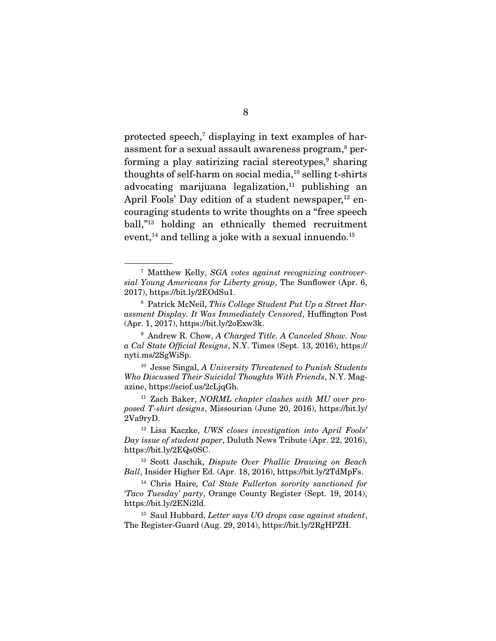protected speech,<sup>7</sup> displaying in text examples of harassment for a sexual assault awareness program, $^{\rm 8}$  performing a play satirizing racial stereotypes,<sup>9</sup> sharing thoughts of self-harm on social media,<sup>10</sup> selling t-shirts advocating marijuana legalization, $11$  publishing an April Fools' Day edition of a student newspaper, $^{12}$  encouraging students to write thoughts on a "free speech ball,"13 holding an ethnically themed recruitment event.<sup>14</sup> and telling a joke with a sexual innuendo.<sup>15</sup>

<sup>7</sup> Matthew Kelly, *SGA votes against recognizing controversial Young Americans for Liberty group*, The Sunflower (Apr. 6, 2017), https://bit.ly/2EOdSu1.

<sup>8</sup> Patrick McNeil, *This College Student Put Up a Street Harassment Display. It Was Immediately Censored*, Huffington Post (Apr. 1, 2017), https://bit.ly/2oExw3k.

<sup>9</sup> Andrew R. Chow, *A Charged Title. A Canceled Show. Now a Cal State Official Resigns*, N.Y. Times (Sept. 13, 2016), https:// nyti.ms/2SgWiSp.

<sup>10</sup> Jesse Singal, *A University Threatened to Punish Students Who Discussed Their Suicidal Thoughts With Friends*, N.Y. Magazine, https://sciof.us/2cLjqGh.

<sup>11</sup> Zach Baker, *NORML chapter clashes with MU over proposed T-shirt designs*, Missourian (June 20, 2016), https://bit.ly/ 2Va9ryD.

<sup>12</sup> Lisa Kaczke, *UWS closes investigation into April Fools' Day issue of student paper*, Duluth News Tribute (Apr. 22, 2016), https://bit.ly/2EQs0SC.

<sup>13</sup> Scott Jaschik, *Dispute Over Phallic Drawing on Beach Ball*, Insider Higher Ed. (Apr. 18, 2016), https://bit.ly/2TdMpFs.

<sup>14</sup> Chris Haire*, Cal State Fullerton sorority sanctioned for 'Taco Tuesday' party*, Orange County Register (Sept. 19, 2014), https://bit.ly/2ENi2ld.

<sup>15</sup> Saul Hubbard, *Letter says UO drops case against student*, The Register-Guard (Aug. 29, 2014), https://bit.ly/2RgHPZH.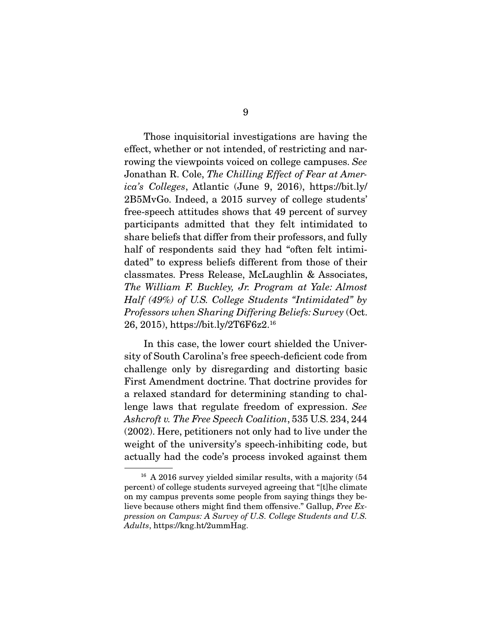Those inquisitorial investigations are having the effect, whether or not intended, of restricting and narrowing the viewpoints voiced on college campuses. *See*  Jonathan R. Cole, *The Chilling Effect of Fear at America's Colleges*, Atlantic (June 9, 2016), https://bit.ly/ 2B5MvGo. Indeed, a 2015 survey of college students' free-speech attitudes shows that 49 percent of survey participants admitted that they felt intimidated to share beliefs that differ from their professors, and fully half of respondents said they had "often felt intimidated" to express beliefs different from those of their classmates. Press Release, McLaughlin & Associates, *The William F. Buckley, Jr. Program at Yale: Almost Half (49%) of U.S. College Students "Intimidated" by Professors when Sharing Differing Beliefs: Survey* (Oct. 26, 2015), https://bit.ly/2T6F6z2.16

 In this case, the lower court shielded the University of South Carolina's free speech-deficient code from challenge only by disregarding and distorting basic First Amendment doctrine. That doctrine provides for a relaxed standard for determining standing to challenge laws that regulate freedom of expression. *See Ashcroft v. The Free Speech Coalition*, 535 U.S. 234, 244 (2002). Here, petitioners not only had to live under the weight of the university's speech-inhibiting code, but actually had the code's process invoked against them

<sup>&</sup>lt;sup>16</sup> A 2016 survey yielded similar results, with a majority (54) percent) of college students surveyed agreeing that "[t]he climate on my campus prevents some people from saying things they believe because others might find them offensive." Gallup, *Free Expression on Campus: A Survey of U.S. College Students and U.S. Adults*, https://kng.ht/2ummHag.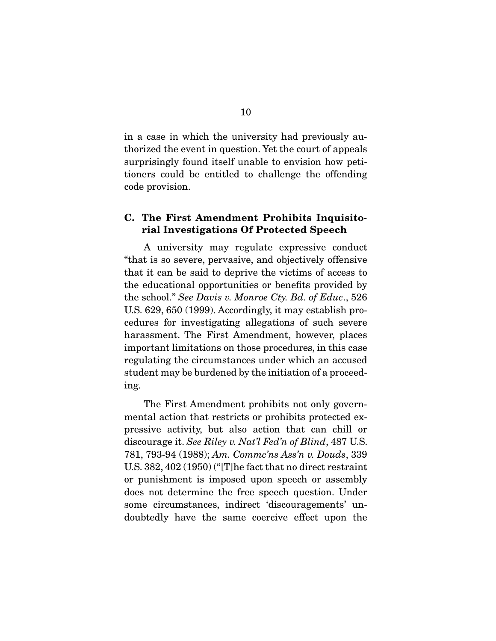in a case in which the university had previously authorized the event in question. Yet the court of appeals surprisingly found itself unable to envision how petitioners could be entitled to challenge the offending code provision.

### C. The First Amendment Prohibits Inquisitorial Investigations Of Protected Speech

A university may regulate expressive conduct "that is so severe, pervasive, and objectively offensive that it can be said to deprive the victims of access to the educational opportunities or benefits provided by the school." *See Davis v. Monroe Cty. Bd. of Educ*., 526 U.S. 629, 650 (1999). Accordingly, it may establish procedures for investigating allegations of such severe harassment. The First Amendment, however, places important limitations on those procedures, in this case regulating the circumstances under which an accused student may be burdened by the initiation of a proceeding.

 The First Amendment prohibits not only governmental action that restricts or prohibits protected expressive activity, but also action that can chill or discourage it. *See Riley v. Nat'l Fed'n of Blind*, 487 U.S. 781, 793-94 (1988); *Am. Commc'ns Ass'n v. Douds*, 339 U.S. 382, 402 (1950) ("[T]he fact that no direct restraint or punishment is imposed upon speech or assembly does not determine the free speech question. Under some circumstances, indirect 'discouragements' undoubtedly have the same coercive effect upon the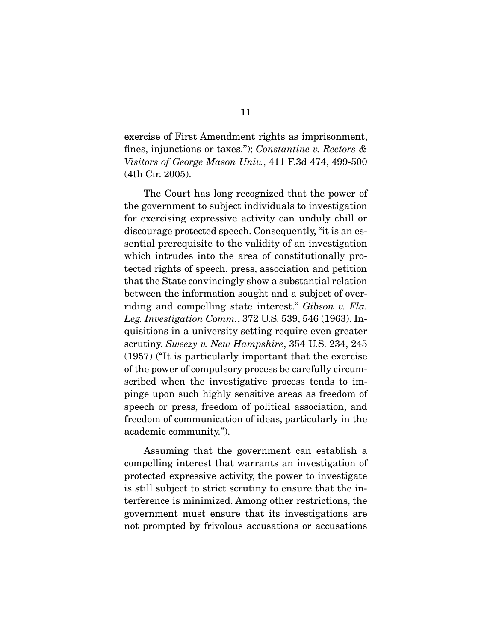exercise of First Amendment rights as imprisonment, fines, injunctions or taxes."); *Constantine v. Rectors & Visitors of George Mason Univ.*, 411 F.3d 474, 499-500 (4th Cir. 2005).

 The Court has long recognized that the power of the government to subject individuals to investigation for exercising expressive activity can unduly chill or discourage protected speech. Consequently, "it is an essential prerequisite to the validity of an investigation which intrudes into the area of constitutionally protected rights of speech, press, association and petition that the State convincingly show a substantial relation between the information sought and a subject of overriding and compelling state interest." *Gibson v. Fla. Leg. Investigation Comm.*, 372 U.S. 539, 546 (1963). Inquisitions in a university setting require even greater scrutiny. *Sweezy v. New Hampshire*, 354 U.S. 234, 245 (1957) ("It is particularly important that the exercise of the power of compulsory process be carefully circumscribed when the investigative process tends to impinge upon such highly sensitive areas as freedom of speech or press, freedom of political association, and freedom of communication of ideas, particularly in the academic community.").

 Assuming that the government can establish a compelling interest that warrants an investigation of protected expressive activity, the power to investigate is still subject to strict scrutiny to ensure that the interference is minimized. Among other restrictions, the government must ensure that its investigations are not prompted by frivolous accusations or accusations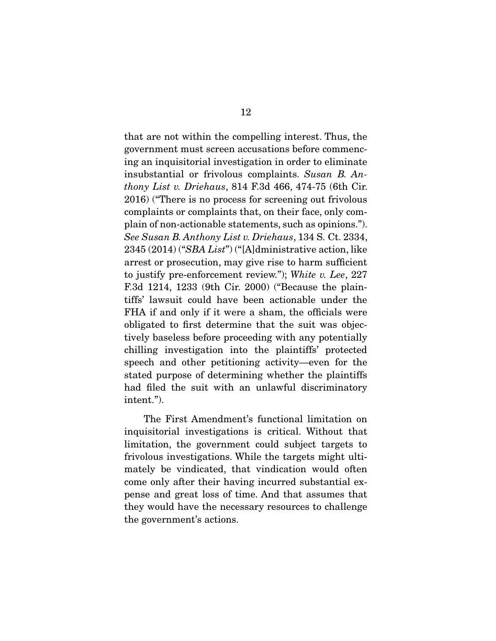that are not within the compelling interest. Thus, the government must screen accusations before commencing an inquisitorial investigation in order to eliminate insubstantial or frivolous complaints. *Susan B. Anthony List v. Driehaus*, 814 F.3d 466, 474-75 (6th Cir. 2016) ("There is no process for screening out frivolous complaints or complaints that, on their face, only complain of non-actionable statements, such as opinions."). *See Susan B. Anthony List v. Driehaus*, 134 S. Ct. 2334, 2345 (2014) ("*SBA List*") ("[A]dministrative action, like arrest or prosecution, may give rise to harm sufficient to justify pre-enforcement review."); *White v. Lee*, 227 F.3d 1214, 1233 (9th Cir. 2000) ("Because the plaintiffs' lawsuit could have been actionable under the FHA if and only if it were a sham, the officials were obligated to first determine that the suit was objectively baseless before proceeding with any potentially chilling investigation into the plaintiffs' protected speech and other petitioning activity—even for the stated purpose of determining whether the plaintiffs had filed the suit with an unlawful discriminatory intent.").

 The First Amendment's functional limitation on inquisitorial investigations is critical. Without that limitation, the government could subject targets to frivolous investigations. While the targets might ultimately be vindicated, that vindication would often come only after their having incurred substantial expense and great loss of time. And that assumes that they would have the necessary resources to challenge the government's actions.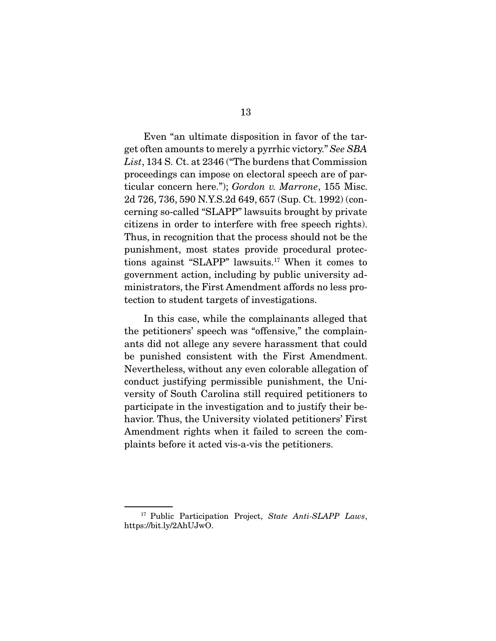Even "an ultimate disposition in favor of the target often amounts to merely a pyrrhic victory." *See SBA List*, 134 S. Ct. at 2346 ("The burdens that Commission proceedings can impose on electoral speech are of particular concern here."); *Gordon v. Marrone*, 155 Misc. 2d 726, 736, 590 N.Y.S.2d 649, 657 (Sup. Ct. 1992) (concerning so-called "SLAPP" lawsuits brought by private citizens in order to interfere with free speech rights). Thus, in recognition that the process should not be the punishment, most states provide procedural protections against "SLAPP" lawsuits.17 When it comes to government action, including by public university administrators, the First Amendment affords no less protection to student targets of investigations.

 In this case, while the complainants alleged that the petitioners' speech was "offensive," the complainants did not allege any severe harassment that could be punished consistent with the First Amendment. Nevertheless, without any even colorable allegation of conduct justifying permissible punishment, the University of South Carolina still required petitioners to participate in the investigation and to justify their behavior. Thus, the University violated petitioners' First Amendment rights when it failed to screen the complaints before it acted vis-a-vis the petitioners.

<sup>17</sup> Public Participation Project, *State Anti-SLAPP Laws*, https://bit.ly/2AhUJwO.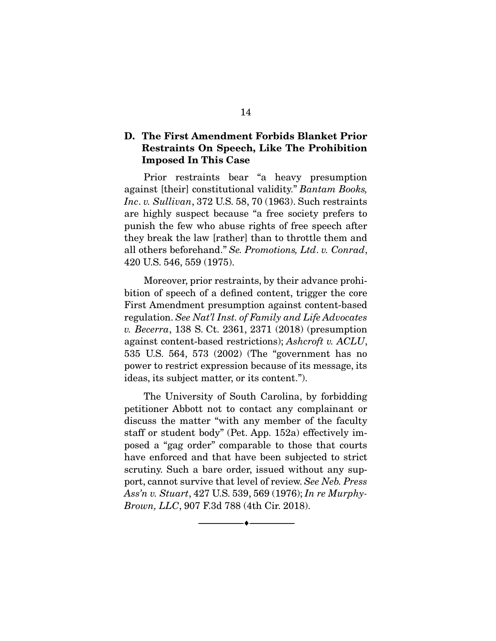### D. The First Amendment Forbids Blanket Prior Restraints On Speech, Like The Prohibition Imposed In This Case

Prior restraints bear "a heavy presumption against [their] constitutional validity." *Bantam Books, Inc*. *v. Sullivan*, 372 U.S. 58, 70 (1963). Such restraints are highly suspect because "a free society prefers to punish the few who abuse rights of free speech after they break the law [rather] than to throttle them and all others beforehand." *Se. Promotions, Ltd*. *v. Conrad*, 420 U.S. 546, 559 (1975).

 Moreover, prior restraints, by their advance prohibition of speech of a defined content, trigger the core First Amendment presumption against content-based regulation. *See Nat'l Inst. of Family and Life Advocates v. Becerra*, 138 S. Ct. 2361, 2371 (2018) (presumption against content-based restrictions); *Ashcroft v. ACLU*, 535 U.S. 564, 573 (2002) (The "government has no power to restrict expression because of its message, its ideas, its subject matter, or its content.").

 The University of South Carolina, by forbidding petitioner Abbott not to contact any complainant or discuss the matter "with any member of the faculty staff or student body" (Pet. App. 152a) effectively imposed a "gag order" comparable to those that courts have enforced and that have been subjected to strict scrutiny. Such a bare order, issued without any support, cannot survive that level of review. *See Neb. Press Ass'n v. Stuart*, 427 U.S. 539, 569 (1976); *In re Murphy-Brown, LLC*, 907 F.3d 788 (4th Cir. 2018).

--------------------------------- ---------------------------------